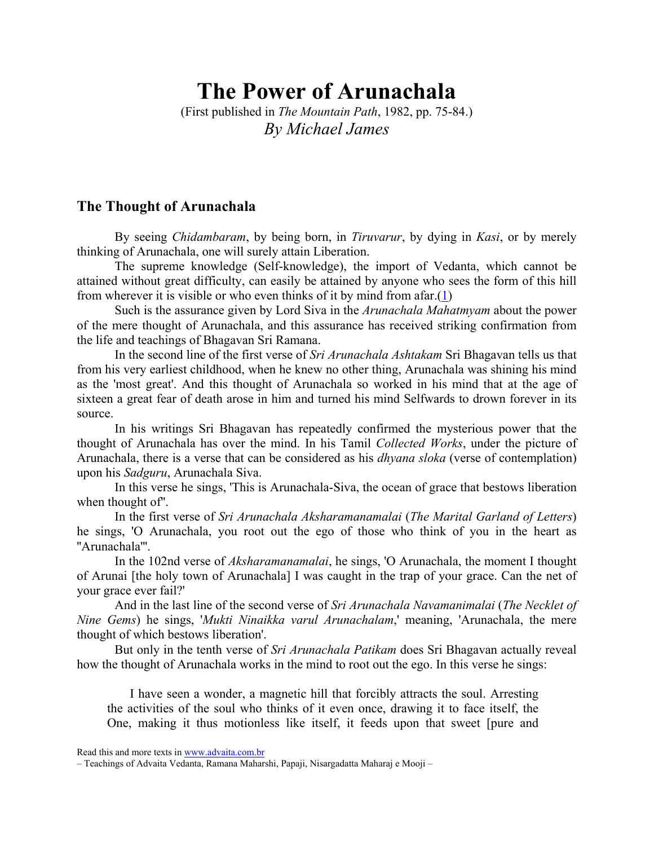# The Power of Arunachala

(First published in The Mountain Path, 1982, pp. 75-84.) By Michael James

## The Thought of Arunachala

By seeing *Chidambaram*, by being born, in *Tiruvarur*, by dying in *Kasi*, or by merely thinking of Arunachala, one will surely attain Liberation.

The supreme knowledge (Self-knowledge), the import of Vedanta, which cannot be attained without great difficulty, can easily be attained by anyone who sees the form of this hill from wherever it is visible or who even thinks of it by mind from afar.(1)

Such is the assurance given by Lord Siva in the Arunachala Mahatmyam about the power of the mere thought of Arunachala, and this assurance has received striking confirmation from the life and teachings of Bhagavan Sri Ramana.

In the second line of the first verse of Sri Arunachala Ashtakam Sri Bhagavan tells us that from his very earliest childhood, when he knew no other thing, Arunachala was shining his mind as the 'most great'. And this thought of Arunachala so worked in his mind that at the age of sixteen a great fear of death arose in him and turned his mind Selfwards to drown forever in its source.

In his writings Sri Bhagavan has repeatedly confirmed the mysterious power that the thought of Arunachala has over the mind. In his Tamil Collected Works, under the picture of Arunachala, there is a verse that can be considered as his dhyana sloka (verse of contemplation) upon his Sadguru, Arunachala Siva.

In this verse he sings, 'This is Arunachala-Siva, the ocean of grace that bestows liberation when thought of''.

In the first verse of Sri Arunachala Aksharamanamalai (The Marital Garland of Letters) he sings, 'O Arunachala, you root out the ego of those who think of you in the heart as ''Arunachala'''.

In the 102nd verse of Aksharamanamalai, he sings, 'O Arunachala, the moment I thought of Arunai [the holy town of Arunachala] I was caught in the trap of your grace. Can the net of your grace ever fail?'

And in the last line of the second verse of Sri Arunachala Navamanimalai (The Necklet of Nine Gems) he sings, 'Mukti Ninaikka varul Arunachalam,' meaning, 'Arunachala, the mere thought of which bestows liberation'.

But only in the tenth verse of *Sri Arunachala Patikam* does Sri Bhagavan actually reveal how the thought of Arunachala works in the mind to root out the ego. In this verse he sings:

I have seen a wonder, a magnetic hill that forcibly attracts the soul. Arresting the activities of the soul who thinks of it even once, drawing it to face itself, the One, making it thus motionless like itself, it feeds upon that sweet [pure and

Read this and more texts in www.advaita.com.br

<sup>–</sup> Teachings of Advaita Vedanta, Ramana Maharshi, Papaji, Nisargadatta Maharaj e Mooji –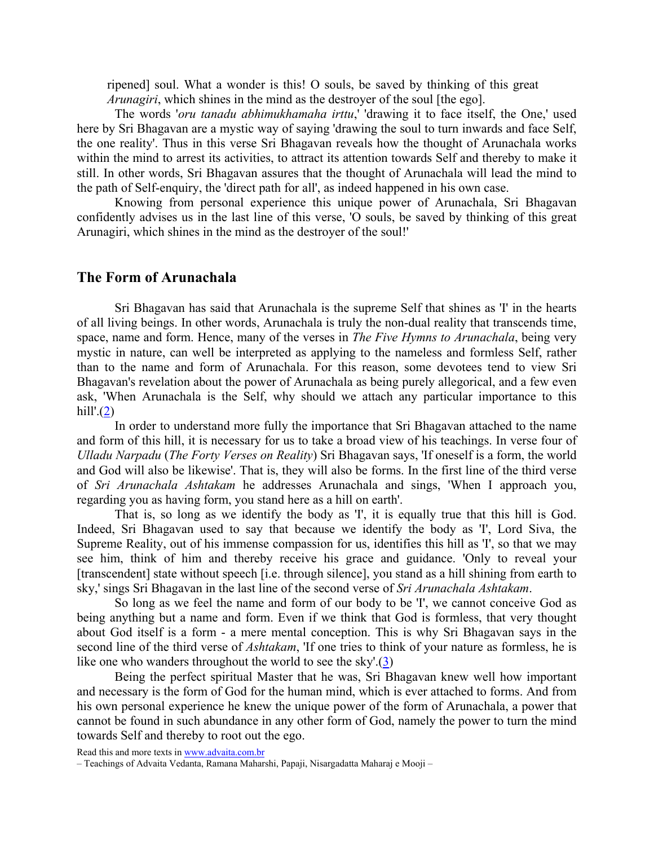ripened] soul. What a wonder is this! O souls, be saved by thinking of this great Arunagiri, which shines in the mind as the destroyer of the soul [the ego].

The words 'oru tanadu abhimukhamaha irttu,' 'drawing it to face itself, the One,' used here by Sri Bhagavan are a mystic way of saying 'drawing the soul to turn inwards and face Self, the one reality'. Thus in this verse Sri Bhagavan reveals how the thought of Arunachala works within the mind to arrest its activities, to attract its attention towards Self and thereby to make it still. In other words, Sri Bhagavan assures that the thought of Arunachala will lead the mind to the path of Self-enquiry, the 'direct path for all', as indeed happened in his own case.

Knowing from personal experience this unique power of Arunachala, Sri Bhagavan confidently advises us in the last line of this verse, 'O souls, be saved by thinking of this great Arunagiri, which shines in the mind as the destroyer of the soul!'

## The Form of Arunachala

Sri Bhagavan has said that Arunachala is the supreme Self that shines as 'I' in the hearts of all living beings. In other words, Arunachala is truly the non-dual reality that transcends time, space, name and form. Hence, many of the verses in The Five Hymns to Arunachala, being very mystic in nature, can well be interpreted as applying to the nameless and formless Self, rather than to the name and form of Arunachala. For this reason, some devotees tend to view Sri Bhagavan's revelation about the power of Arunachala as being purely allegorical, and a few even ask, 'When Arunachala is the Self, why should we attach any particular importance to this hill'. $(2)$ 

In order to understand more fully the importance that Sri Bhagavan attached to the name and form of this hill, it is necessary for us to take a broad view of his teachings. In verse four of Ulladu Narpadu (The Forty Verses on Reality) Sri Bhagavan says, 'If oneself is a form, the world and God will also be likewise'. That is, they will also be forms. In the first line of the third verse of Sri Arunachala Ashtakam he addresses Arunachala and sings, 'When I approach you, regarding you as having form, you stand here as a hill on earth'.

That is, so long as we identify the body as 'I', it is equally true that this hill is God. Indeed, Sri Bhagavan used to say that because we identify the body as 'I', Lord Siva, the Supreme Reality, out of his immense compassion for us, identifies this hill as 'I', so that we may see him, think of him and thereby receive his grace and guidance. 'Only to reveal your [transcendent] state without speech [i.e. through silence], you stand as a hill shining from earth to sky,' sings Sri Bhagavan in the last line of the second verse of Sri Arunachala Ashtakam.

So long as we feel the name and form of our body to be 'I', we cannot conceive God as being anything but a name and form. Even if we think that God is formless, that very thought about God itself is a form - a mere mental conception. This is why Sri Bhagavan says in the second line of the third verse of *Ashtakam*, 'If one tries to think of your nature as formless, he is like one who wanders throughout the world to see the sky'.(3)

Being the perfect spiritual Master that he was, Sri Bhagavan knew well how important and necessary is the form of God for the human mind, which is ever attached to forms. And from his own personal experience he knew the unique power of the form of Arunachala, a power that cannot be found in such abundance in any other form of God, namely the power to turn the mind towards Self and thereby to root out the ego.

<sup>–</sup> Teachings of Advaita Vedanta, Ramana Maharshi, Papaji, Nisargadatta Maharaj e Mooji –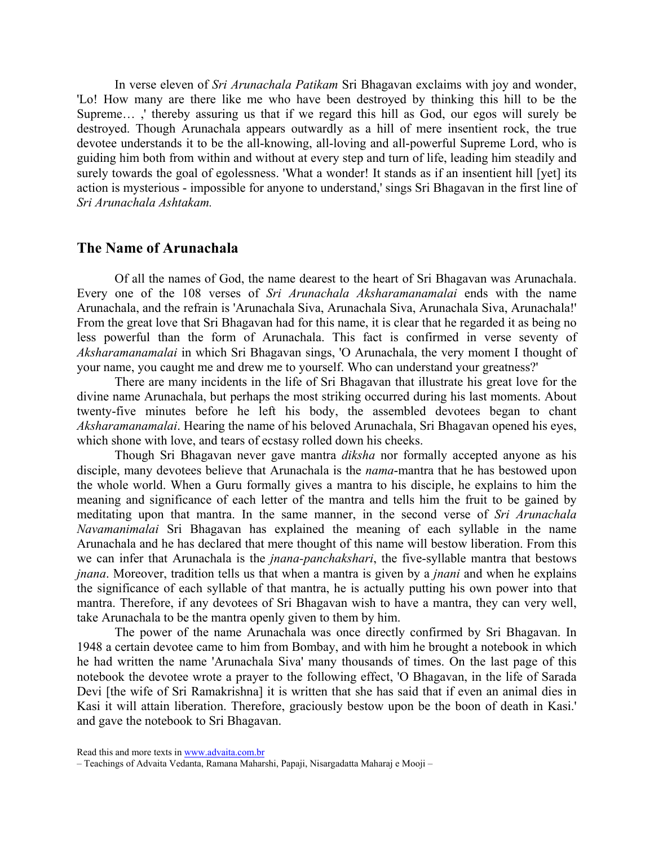In verse eleven of Sri Arunachala Patikam Sri Bhagavan exclaims with joy and wonder, 'Lo! How many are there like me who have been destroyed by thinking this hill to be the Supreme… ,' thereby assuring us that if we regard this hill as God, our egos will surely be destroyed. Though Arunachala appears outwardly as a hill of mere insentient rock, the true devotee understands it to be the all-knowing, all-loving and all-powerful Supreme Lord, who is guiding him both from within and without at every step and turn of life, leading him steadily and surely towards the goal of egolessness. 'What a wonder! It stands as if an insentient hill [yet] its action is mysterious - impossible for anyone to understand,' sings Sri Bhagavan in the first line of Sri Arunachala Ashtakam.

#### The Name of Arunachala

Of all the names of God, the name dearest to the heart of Sri Bhagavan was Arunachala. Every one of the 108 verses of Sri Arunachala Aksharamanamalai ends with the name Arunachala, and the refrain is 'Arunachala Siva, Arunachala Siva, Arunachala Siva, Arunachala!' From the great love that Sri Bhagavan had for this name, it is clear that he regarded it as being no less powerful than the form of Arunachala. This fact is confirmed in verse seventy of Aksharamanamalai in which Sri Bhagavan sings, 'O Arunachala, the very moment I thought of your name, you caught me and drew me to yourself. Who can understand your greatness?'

There are many incidents in the life of Sri Bhagavan that illustrate his great love for the divine name Arunachala, but perhaps the most striking occurred during his last moments. About twenty-five minutes before he left his body, the assembled devotees began to chant Aksharamanamalai. Hearing the name of his beloved Arunachala, Sri Bhagavan opened his eyes, which shone with love, and tears of ecstasy rolled down his cheeks.

Though Sri Bhagavan never gave mantra diksha nor formally accepted anyone as his disciple, many devotees believe that Arunachala is the *nama*-mantra that he has bestowed upon the whole world. When a Guru formally gives a mantra to his disciple, he explains to him the meaning and significance of each letter of the mantra and tells him the fruit to be gained by meditating upon that mantra. In the same manner, in the second verse of Sri Arunachala Navamanimalai Sri Bhagavan has explained the meaning of each syllable in the name Arunachala and he has declared that mere thought of this name will bestow liberation. From this we can infer that Arunachala is the jnana-panchakshari, the five-syllable mantra that bestows jnana. Moreover, tradition tells us that when a mantra is given by a jnani and when he explains the significance of each syllable of that mantra, he is actually putting his own power into that mantra. Therefore, if any devotees of Sri Bhagavan wish to have a mantra, they can very well, take Arunachala to be the mantra openly given to them by him.

The power of the name Arunachala was once directly confirmed by Sri Bhagavan. In 1948 a certain devotee came to him from Bombay, and with him he brought a notebook in which he had written the name 'Arunachala Siva' many thousands of times. On the last page of this notebook the devotee wrote a prayer to the following effect, 'O Bhagavan, in the life of Sarada Devi [the wife of Sri Ramakrishna] it is written that she has said that if even an animal dies in Kasi it will attain liberation. Therefore, graciously bestow upon be the boon of death in Kasi.' and gave the notebook to Sri Bhagavan.

Read this and more texts in www.advaita.com.br

<sup>–</sup> Teachings of Advaita Vedanta, Ramana Maharshi, Papaji, Nisargadatta Maharaj e Mooji –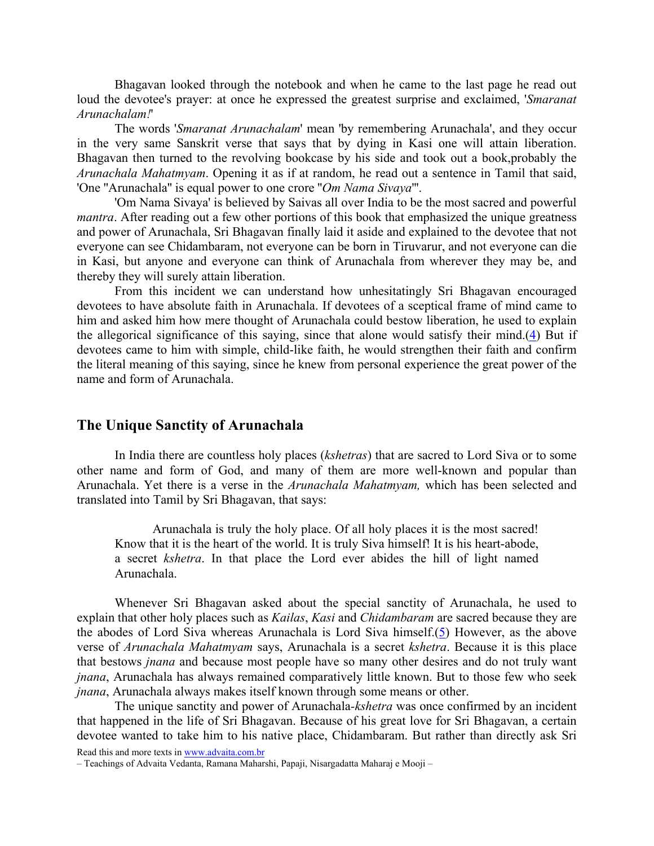Bhagavan looked through the notebook and when he came to the last page he read out loud the devotee's prayer: at once he expressed the greatest surprise and exclaimed, 'Smaranat Arunachalam!'

The words 'Smaranat Arunachalam' mean 'by remembering Arunachala', and they occur in the very same Sanskrit verse that says that by dying in Kasi one will attain liberation. Bhagavan then turned to the revolving bookcase by his side and took out a book,probably the Arunachala Mahatmyam. Opening it as if at random, he read out a sentence in Tamil that said, 'One ''Arunachala'' is equal power to one crore ''Om Nama Sivaya'''.

'Om Nama Sivaya' is believed by Saivas all over India to be the most sacred and powerful mantra. After reading out a few other portions of this book that emphasized the unique greatness and power of Arunachala, Sri Bhagavan finally laid it aside and explained to the devotee that not everyone can see Chidambaram, not everyone can be born in Tiruvarur, and not everyone can die in Kasi, but anyone and everyone can think of Arunachala from wherever they may be, and thereby they will surely attain liberation.

From this incident we can understand how unhesitatingly Sri Bhagavan encouraged devotees to have absolute faith in Arunachala. If devotees of a sceptical frame of mind came to him and asked him how mere thought of Arunachala could bestow liberation, he used to explain the allegorical significance of this saying, since that alone would satisfy their mind.(4) But if devotees came to him with simple, child-like faith, he would strengthen their faith and confirm the literal meaning of this saying, since he knew from personal experience the great power of the name and form of Arunachala.

# The Unique Sanctity of Arunachala

In India there are countless holy places (kshetras) that are sacred to Lord Siva or to some other name and form of God, and many of them are more well-known and popular than Arunachala. Yet there is a verse in the Arunachala Mahatmyam, which has been selected and translated into Tamil by Sri Bhagavan, that says:

Arunachala is truly the holy place. Of all holy places it is the most sacred! Know that it is the heart of the world. It is truly Siva himself! It is his heart-abode, a secret kshetra. In that place the Lord ever abides the hill of light named Arunachala.

Whenever Sri Bhagavan asked about the special sanctity of Arunachala, he used to explain that other holy places such as *Kailas*, *Kasi* and *Chidambaram* are sacred because they are the abodes of Lord Siva whereas Arunachala is Lord Siva himself.(5) However, as the above verse of Arunachala Mahatmyam says, Arunachala is a secret kshetra. Because it is this place that bestows jnana and because most people have so many other desires and do not truly want jnana, Arunachala has always remained comparatively little known. But to those few who seek jnana, Arunachala always makes itself known through some means or other.

The unique sanctity and power of Arunachala-*kshetra* was once confirmed by an incident that happened in the life of Sri Bhagavan. Because of his great love for Sri Bhagavan, a certain devotee wanted to take him to his native place, Chidambaram. But rather than directly ask Sri

<sup>–</sup> Teachings of Advaita Vedanta, Ramana Maharshi, Papaji, Nisargadatta Maharaj e Mooji –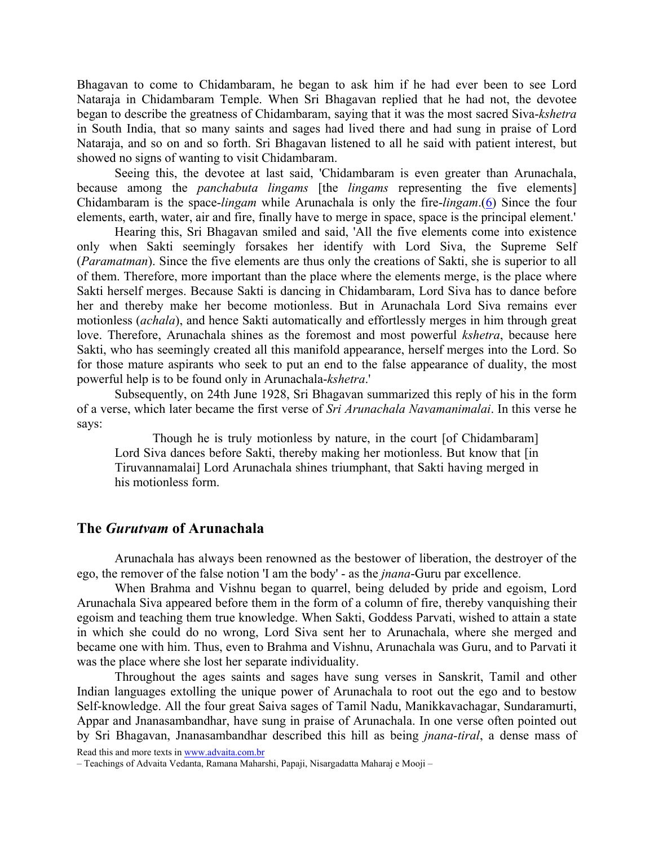Bhagavan to come to Chidambaram, he began to ask him if he had ever been to see Lord Nataraja in Chidambaram Temple. When Sri Bhagavan replied that he had not, the devotee began to describe the greatness of Chidambaram, saying that it was the most sacred Siva-kshetra in South India, that so many saints and sages had lived there and had sung in praise of Lord Nataraja, and so on and so forth. Sri Bhagavan listened to all he said with patient interest, but showed no signs of wanting to visit Chidambaram.

Seeing this, the devotee at last said, 'Chidambaram is even greater than Arunachala, because among the *panchabuta lingams* [the *lingams* representing the five elements] Chidambaram is the space-lingam while Arunachala is only the fire-lingam.(6) Since the four elements, earth, water, air and fire, finally have to merge in space, space is the principal element.'

Hearing this, Sri Bhagavan smiled and said, 'All the five elements come into existence only when Sakti seemingly forsakes her identify with Lord Siva, the Supreme Self (Paramatman). Since the five elements are thus only the creations of Sakti, she is superior to all of them. Therefore, more important than the place where the elements merge, is the place where Sakti herself merges. Because Sakti is dancing in Chidambaram, Lord Siva has to dance before her and thereby make her become motionless. But in Arunachala Lord Siva remains ever motionless (achala), and hence Sakti automatically and effortlessly merges in him through great love. Therefore, Arunachala shines as the foremost and most powerful *kshetra*, because here Sakti, who has seemingly created all this manifold appearance, herself merges into the Lord. So for those mature aspirants who seek to put an end to the false appearance of duality, the most powerful help is to be found only in Arunachala-kshetra.'

Subsequently, on 24th June 1928, Sri Bhagavan summarized this reply of his in the form of a verse, which later became the first verse of Sri Arunachala Navamanimalai. In this verse he says:

Though he is truly motionless by nature, in the court [of Chidambaram] Lord Siva dances before Sakti, thereby making her motionless. But know that [in Tiruvannamalai] Lord Arunachala shines triumphant, that Sakti having merged in his motionless form.

### The Gurutvam of Arunachala

Arunachala has always been renowned as the bestower of liberation, the destroyer of the ego, the remover of the false notion 'I am the body' - as the jnana-Guru par excellence.

When Brahma and Vishnu began to quarrel, being deluded by pride and egoism, Lord Arunachala Siva appeared before them in the form of a column of fire, thereby vanquishing their egoism and teaching them true knowledge. When Sakti, Goddess Parvati, wished to attain a state in which she could do no wrong, Lord Siva sent her to Arunachala, where she merged and became one with him. Thus, even to Brahma and Vishnu, Arunachala was Guru, and to Parvati it was the place where she lost her separate individuality.

Throughout the ages saints and sages have sung verses in Sanskrit, Tamil and other Indian languages extolling the unique power of Arunachala to root out the ego and to bestow Self-knowledge. All the four great Saiva sages of Tamil Nadu, Manikkavachagar, Sundaramurti, Appar and Jnanasambandhar, have sung in praise of Arunachala. In one verse often pointed out by Sri Bhagavan, Jnanasambandhar described this hill as being jnana-tiral, a dense mass of

<sup>–</sup> Teachings of Advaita Vedanta, Ramana Maharshi, Papaji, Nisargadatta Maharaj e Mooji –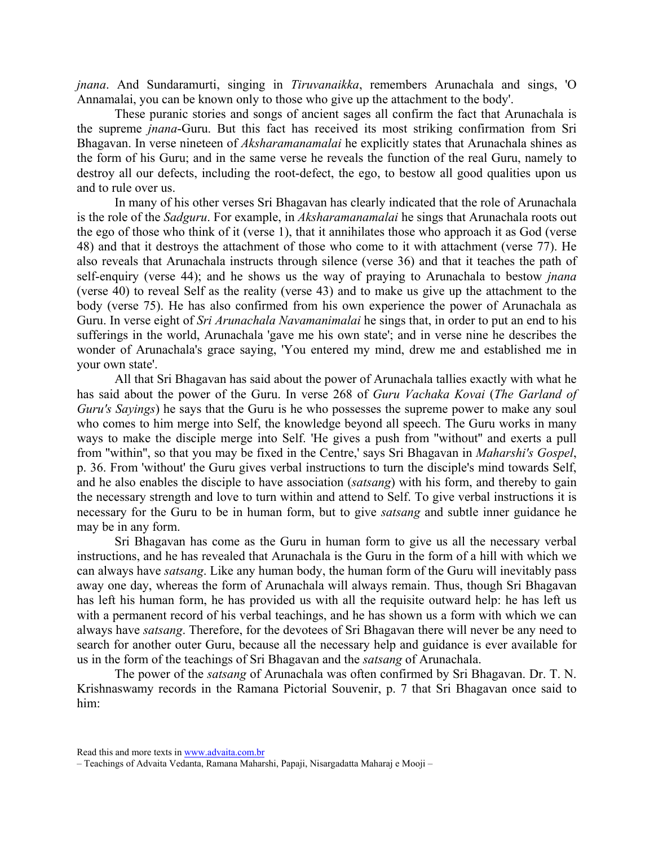jnana. And Sundaramurti, singing in Tiruvanaikka, remembers Arunachala and sings, 'O Annamalai, you can be known only to those who give up the attachment to the body'.

These puranic stories and songs of ancient sages all confirm the fact that Arunachala is the supreme jnana-Guru. But this fact has received its most striking confirmation from Sri Bhagavan. In verse nineteen of *Aksharamanamalai* he explicitly states that Arunachala shines as the form of his Guru; and in the same verse he reveals the function of the real Guru, namely to destroy all our defects, including the root-defect, the ego, to bestow all good qualities upon us and to rule over us.

In many of his other verses Sri Bhagavan has clearly indicated that the role of Arunachala is the role of the *Sadguru*. For example, in *Aksharamanamalai* he sings that Arunachala roots out the ego of those who think of it (verse 1), that it annihilates those who approach it as God (verse 48) and that it destroys the attachment of those who come to it with attachment (verse 77). He also reveals that Arunachala instructs through silence (verse 36) and that it teaches the path of self-enquiry (verse 44); and he shows us the way of praying to Arunachala to bestow *jnana* (verse 40) to reveal Self as the reality (verse 43) and to make us give up the attachment to the body (verse 75). He has also confirmed from his own experience the power of Arunachala as Guru. In verse eight of *Sri Arunachala Navamanimalai* he sings that, in order to put an end to his sufferings in the world, Arunachala 'gave me his own state'; and in verse nine he describes the wonder of Arunachala's grace saying, 'You entered my mind, drew me and established me in your own state'.

All that Sri Bhagavan has said about the power of Arunachala tallies exactly with what he has said about the power of the Guru. In verse 268 of Guru Vachaka Kovai (The Garland of Guru's Sayings) he says that the Guru is he who possesses the supreme power to make any soul who comes to him merge into Self, the knowledge beyond all speech. The Guru works in many ways to make the disciple merge into Self. 'He gives a push from ''without'' and exerts a pull from ''within'', so that you may be fixed in the Centre,' says Sri Bhagavan in Maharshi's Gospel, p. 36. From 'without' the Guru gives verbal instructions to turn the disciple's mind towards Self, and he also enables the disciple to have association (satsang) with his form, and thereby to gain the necessary strength and love to turn within and attend to Self. To give verbal instructions it is necessary for the Guru to be in human form, but to give satsang and subtle inner guidance he may be in any form.

Sri Bhagavan has come as the Guru in human form to give us all the necessary verbal instructions, and he has revealed that Arunachala is the Guru in the form of a hill with which we can always have satsang. Like any human body, the human form of the Guru will inevitably pass away one day, whereas the form of Arunachala will always remain. Thus, though Sri Bhagavan has left his human form, he has provided us with all the requisite outward help: he has left us with a permanent record of his verbal teachings, and he has shown us a form with which we can always have satsang. Therefore, for the devotees of Sri Bhagavan there will never be any need to search for another outer Guru, because all the necessary help and guidance is ever available for us in the form of the teachings of Sri Bhagavan and the satsang of Arunachala.

The power of the satsang of Arunachala was often confirmed by Sri Bhagavan. Dr. T. N. Krishnaswamy records in the Ramana Pictorial Souvenir, p. 7 that Sri Bhagavan once said to him:

Read this and more texts in www.advaita.com.br

<sup>–</sup> Teachings of Advaita Vedanta, Ramana Maharshi, Papaji, Nisargadatta Maharaj e Mooji –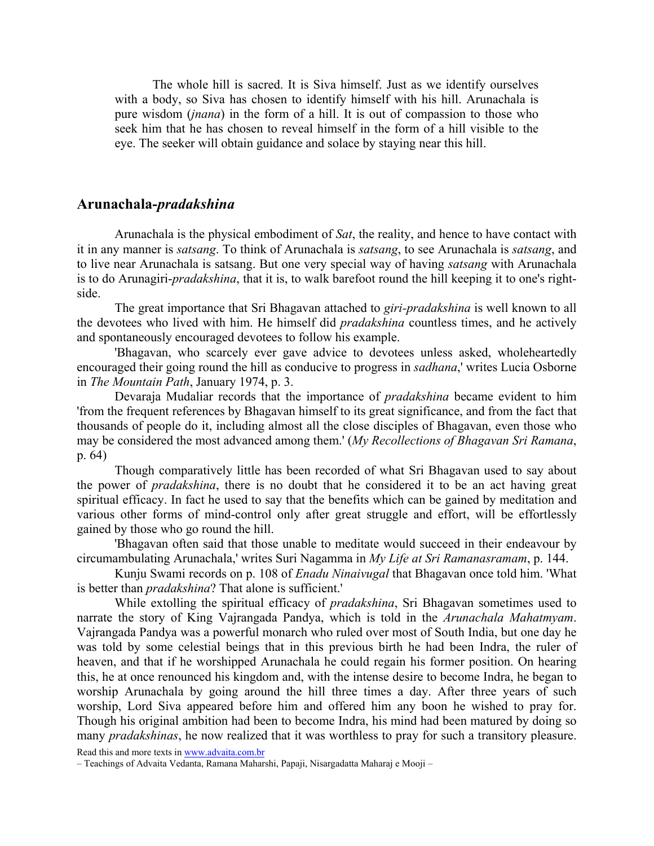The whole hill is sacred. It is Siva himself. Just as we identify ourselves with a body, so Siva has chosen to identify himself with his hill. Arunachala is pure wisdom *(jnana)* in the form of a hill. It is out of compassion to those who seek him that he has chosen to reveal himself in the form of a hill visible to the eye. The seeker will obtain guidance and solace by staying near this hill.

# Arunachala-pradakshina

Arunachala is the physical embodiment of Sat, the reality, and hence to have contact with it in any manner is satsang. To think of Arunachala is satsang, to see Arunachala is satsang, and to live near Arunachala is satsang. But one very special way of having satsang with Arunachala is to do Arunagiri-pradakshina, that it is, to walk barefoot round the hill keeping it to one's rightside.

The great importance that Sri Bhagavan attached to giri-pradakshina is well known to all the devotees who lived with him. He himself did pradakshina countless times, and he actively and spontaneously encouraged devotees to follow his example.

'Bhagavan, who scarcely ever gave advice to devotees unless asked, wholeheartedly encouraged their going round the hill as conducive to progress in sadhana,' writes Lucia Osborne in The Mountain Path, January 1974, p. 3.

Devaraja Mudaliar records that the importance of pradakshina became evident to him 'from the frequent references by Bhagavan himself to its great significance, and from the fact that thousands of people do it, including almost all the close disciples of Bhagavan, even those who may be considered the most advanced among them.' (My Recollections of Bhagavan Sri Ramana, p. 64)

Though comparatively little has been recorded of what Sri Bhagavan used to say about the power of pradakshina, there is no doubt that he considered it to be an act having great spiritual efficacy. In fact he used to say that the benefits which can be gained by meditation and various other forms of mind-control only after great struggle and effort, will be effortlessly gained by those who go round the hill.

'Bhagavan often said that those unable to meditate would succeed in their endeavour by circumambulating Arunachala,' writes Suri Nagamma in My Life at Sri Ramanasramam, p. 144.

Kunju Swami records on p. 108 of *Enadu Ninaivugal* that Bhagavan once told him. 'What is better than pradakshina? That alone is sufficient.'

While extolling the spiritual efficacy of *pradakshina*, Sri Bhagavan sometimes used to narrate the story of King Vajrangada Pandya, which is told in the Arunachala Mahatmyam. Vajrangada Pandya was a powerful monarch who ruled over most of South India, but one day he was told by some celestial beings that in this previous birth he had been Indra, the ruler of heaven, and that if he worshipped Arunachala he could regain his former position. On hearing this, he at once renounced his kingdom and, with the intense desire to become Indra, he began to worship Arunachala by going around the hill three times a day. After three years of such worship, Lord Siva appeared before him and offered him any boon he wished to pray for. Though his original ambition had been to become Indra, his mind had been matured by doing so many *pradakshinas*, he now realized that it was worthless to pray for such a transitory pleasure.

<sup>–</sup> Teachings of Advaita Vedanta, Ramana Maharshi, Papaji, Nisargadatta Maharaj e Mooji –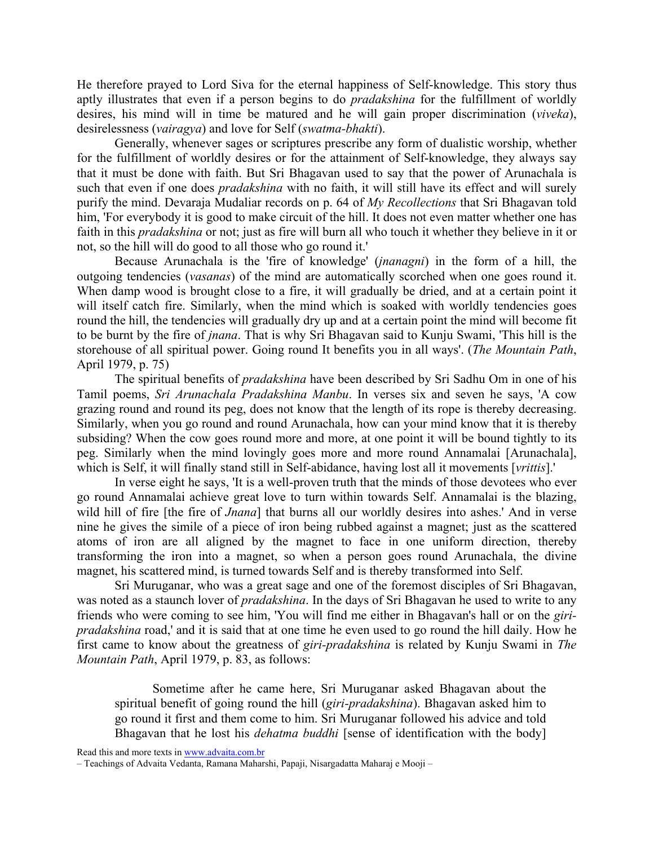He therefore prayed to Lord Siva for the eternal happiness of Self-knowledge. This story thus aptly illustrates that even if a person begins to do pradakshina for the fulfillment of worldly desires, his mind will in time be matured and he will gain proper discrimination (viveka), desirelessness (vairagya) and love for Self (swatma-bhakti).

Generally, whenever sages or scriptures prescribe any form of dualistic worship, whether for the fulfillment of worldly desires or for the attainment of Self-knowledge, they always say that it must be done with faith. But Sri Bhagavan used to say that the power of Arunachala is such that even if one does *pradakshina* with no faith, it will still have its effect and will surely purify the mind. Devaraja Mudaliar records on p. 64 of My Recollections that Sri Bhagavan told him, 'For everybody it is good to make circuit of the hill. It does not even matter whether one has faith in this pradakshina or not; just as fire will burn all who touch it whether they believe in it or not, so the hill will do good to all those who go round it.'

Because Arunachala is the 'fire of knowledge' (jnanagni) in the form of a hill, the outgoing tendencies (vasanas) of the mind are automatically scorched when one goes round it. When damp wood is brought close to a fire, it will gradually be dried, and at a certain point it will itself catch fire. Similarly, when the mind which is soaked with worldly tendencies goes round the hill, the tendencies will gradually dry up and at a certain point the mind will become fit to be burnt by the fire of jnana. That is why Sri Bhagavan said to Kunju Swami, 'This hill is the storehouse of all spiritual power. Going round It benefits you in all ways'. (The Mountain Path, April 1979, p. 75)

The spiritual benefits of *pradakshina* have been described by Sri Sadhu Om in one of his Tamil poems, Sri Arunachala Pradakshina Manbu. In verses six and seven he says, 'A cow grazing round and round its peg, does not know that the length of its rope is thereby decreasing. Similarly, when you go round and round Arunachala, how can your mind know that it is thereby subsiding? When the cow goes round more and more, at one point it will be bound tightly to its peg. Similarly when the mind lovingly goes more and more round Annamalai [Arunachala], which is Self, it will finally stand still in Self-abidance, having lost all it movements [*vrittis*].'

In verse eight he says, 'It is a well-proven truth that the minds of those devotees who ever go round Annamalai achieve great love to turn within towards Self. Annamalai is the blazing, wild hill of fire [the fire of *Jnana*] that burns all our worldly desires into ashes.' And in verse nine he gives the simile of a piece of iron being rubbed against a magnet; just as the scattered atoms of iron are all aligned by the magnet to face in one uniform direction, thereby transforming the iron into a magnet, so when a person goes round Arunachala, the divine magnet, his scattered mind, is turned towards Self and is thereby transformed into Self.

Sri Muruganar, who was a great sage and one of the foremost disciples of Sri Bhagavan, was noted as a staunch lover of *pradakshina*. In the days of Sri Bhagavan he used to write to any friends who were coming to see him, 'You will find me either in Bhagavan's hall or on the giripradakshina road,' and it is said that at one time he even used to go round the hill daily. How he first came to know about the greatness of giri-pradakshina is related by Kunju Swami in The Mountain Path, April 1979, p. 83, as follows:

Sometime after he came here, Sri Muruganar asked Bhagavan about the spiritual benefit of going round the hill (giri-pradakshina). Bhagavan asked him to go round it first and them come to him. Sri Muruganar followed his advice and told Bhagavan that he lost his *dehatma buddhi* [sense of identification with the body]

Read this and more texts in www.advaita.com.br

<sup>–</sup> Teachings of Advaita Vedanta, Ramana Maharshi, Papaji, Nisargadatta Maharaj e Mooji –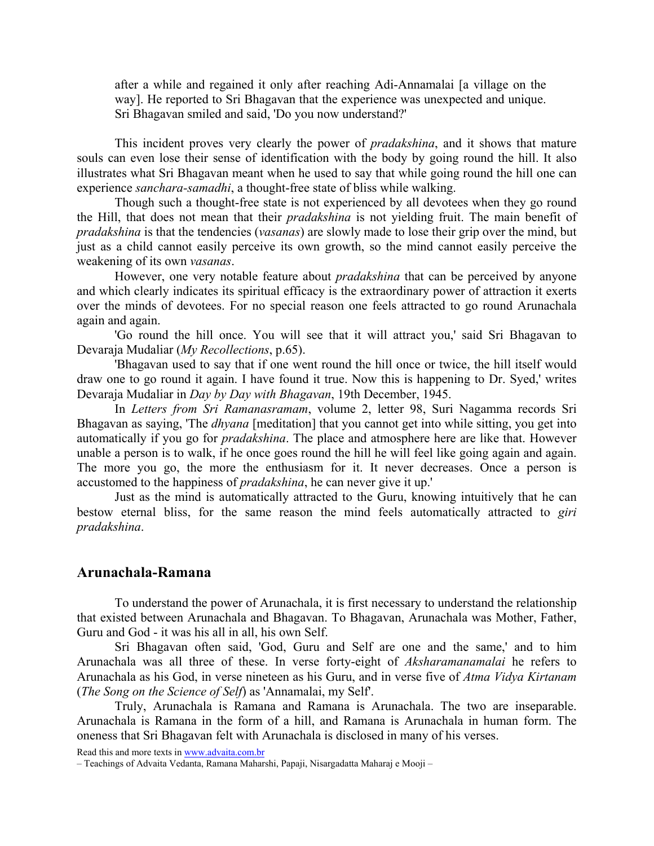after a while and regained it only after reaching Adi-Annamalai [a village on the way]. He reported to Sri Bhagavan that the experience was unexpected and unique. Sri Bhagavan smiled and said, 'Do you now understand?'

This incident proves very clearly the power of *pradakshina*, and it shows that mature souls can even lose their sense of identification with the body by going round the hill. It also illustrates what Sri Bhagavan meant when he used to say that while going round the hill one can experience sanchara-samadhi, a thought-free state of bliss while walking.

Though such a thought-free state is not experienced by all devotees when they go round the Hill, that does not mean that their pradakshina is not yielding fruit. The main benefit of pradakshina is that the tendencies (vasanas) are slowly made to lose their grip over the mind, but just as a child cannot easily perceive its own growth, so the mind cannot easily perceive the weakening of its own vasanas.

However, one very notable feature about *pradakshina* that can be perceived by anyone and which clearly indicates its spiritual efficacy is the extraordinary power of attraction it exerts over the minds of devotees. For no special reason one feels attracted to go round Arunachala again and again.

'Go round the hill once. You will see that it will attract you,' said Sri Bhagavan to Devaraja Mudaliar (My Recollections, p.65).

'Bhagavan used to say that if one went round the hill once or twice, the hill itself would draw one to go round it again. I have found it true. Now this is happening to Dr. Syed,' writes Devaraja Mudaliar in *Day by Day with Bhagavan*, 19th December, 1945.

In Letters from Sri Ramanasramam, volume 2, letter 98, Suri Nagamma records Sri Bhagavan as saying, 'The *dhyana* [meditation] that you cannot get into while sitting, you get into automatically if you go for pradakshina. The place and atmosphere here are like that. However unable a person is to walk, if he once goes round the hill he will feel like going again and again. The more you go, the more the enthusiasm for it. It never decreases. Once a person is accustomed to the happiness of pradakshina, he can never give it up.'

Just as the mind is automatically attracted to the Guru, knowing intuitively that he can bestow eternal bliss, for the same reason the mind feels automatically attracted to giri pradakshina.

## Arunachala-Ramana

To understand the power of Arunachala, it is first necessary to understand the relationship that existed between Arunachala and Bhagavan. To Bhagavan, Arunachala was Mother, Father, Guru and God - it was his all in all, his own Self.

Sri Bhagavan often said, 'God, Guru and Self are one and the same,' and to him Arunachala was all three of these. In verse forty-eight of Aksharamanamalai he refers to Arunachala as his God, in verse nineteen as his Guru, and in verse five of Atma Vidya Kirtanam (The Song on the Science of Self) as 'Annamalai, my Self'.

Truly, Arunachala is Ramana and Ramana is Arunachala. The two are inseparable. Arunachala is Ramana in the form of a hill, and Ramana is Arunachala in human form. The oneness that Sri Bhagavan felt with Arunachala is disclosed in many of his verses.

<sup>–</sup> Teachings of Advaita Vedanta, Ramana Maharshi, Papaji, Nisargadatta Maharaj e Mooji –